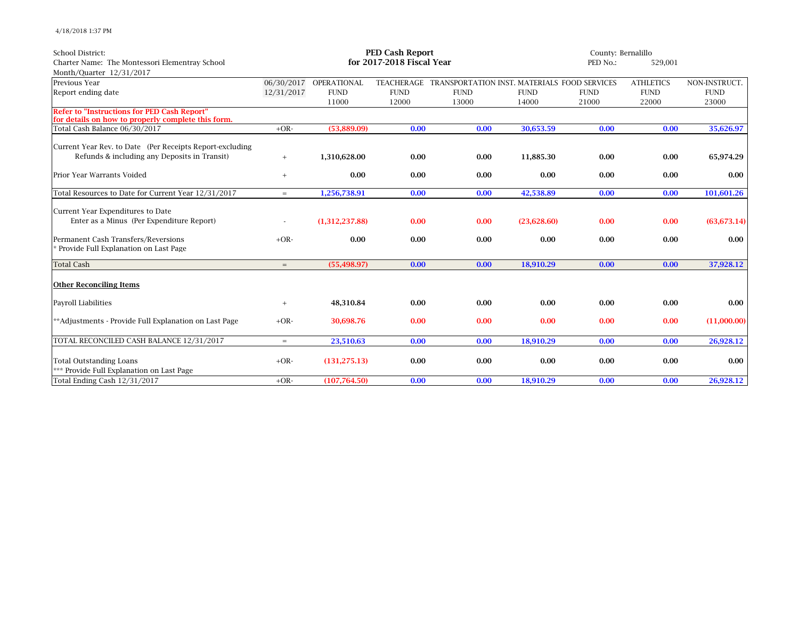4/18/2018 1:37 PM

| <b>School District:</b>                                  | <b>PED Cash Report</b>    |                        |             |                                              |             | County: Bernalillo |                  |               |
|----------------------------------------------------------|---------------------------|------------------------|-------------|----------------------------------------------|-------------|--------------------|------------------|---------------|
| Charter Name: The Montessori Elementray School           | for 2017-2018 Fiscal Year |                        |             |                                              |             |                    | 529,001          |               |
| Month/Quarter 12/31/2017                                 |                           |                        |             |                                              |             |                    |                  |               |
| Previous Year                                            |                           | 06/30/2017 OPERATIONAL | TEACHERAGE  | TRANSPORTATION INST. MATERIALS FOOD SERVICES |             |                    | <b>ATHLETICS</b> | NON-INSTRUCT. |
| Report ending date                                       | 12/31/2017                | <b>FUND</b>            | <b>FUND</b> | <b>FUND</b>                                  | <b>FUND</b> | <b>FUND</b>        | <b>FUND</b>      | <b>FUND</b>   |
|                                                          |                           | 11000                  | 12000       | 13000                                        | 14000       | 21000              | 22000            | 23000         |
| <b>Refer to "Instructions for PED Cash Report"</b>       |                           |                        |             |                                              |             |                    |                  |               |
| for details on how to properly complete this form.       |                           |                        |             |                                              |             |                    |                  |               |
| Total Cash Balance 06/30/2017                            | $+OR-$                    | (53,889.09)            | 0.00        | 0.00                                         | 30,653.59   | 0.00               | 0.00             | 35,626.97     |
| Current Year Rev. to Date (Per Receipts Report-excluding |                           |                        |             |                                              |             |                    |                  |               |
| Refunds & including any Deposits in Transit)             | $+$                       | 1,310,628.00           | 0.00        | 0.00                                         | 11.885.30   | 0.00               | 0.00             | 65,974.29     |
|                                                          |                           |                        |             |                                              |             |                    |                  |               |
| Prior Year Warrants Voided                               | $^{+}$                    | 0.00                   | 0.00        | 0.00                                         | 0.00        | 0.00               | 0.00             | 0.00          |
|                                                          |                           |                        |             |                                              |             |                    |                  |               |
| Total Resources to Date for Current Year 12/31/2017      | $=$                       | 1,256,738.91           | 0.00        | 0.00                                         | 42,538.89   | 0.00               | 0.00             | 101,601.26    |
| Current Year Expenditures to Date                        |                           |                        |             |                                              |             |                    |                  |               |
| Enter as a Minus (Per Expenditure Report)                |                           | (1,312,237.88)         | 0.00        | 0.00                                         | (23,628.60) | 0.00               | 0.00             | (63, 673.14)  |
|                                                          |                           |                        |             |                                              |             |                    |                  |               |
| Permanent Cash Transfers/Reversions                      | $+OR-$                    | 0.00                   | 0.00        | 0.00                                         | 0.00        | 0.00               | 0.00             | 0.00          |
| * Provide Full Explanation on Last Page                  |                           |                        |             |                                              |             |                    |                  |               |
|                                                          |                           |                        |             |                                              |             |                    |                  |               |
| <b>Total Cash</b>                                        | $=$                       | (55, 498.97)           | 0.00        | 0.00                                         | 18.910.29   | 0.00               | 0.00             | 37,928.12     |
|                                                          |                           |                        |             |                                              |             |                    |                  |               |
| <b>Other Reconciling Items</b>                           |                           |                        |             |                                              |             |                    |                  |               |
| <b>Payroll Liabilities</b>                               | $\qquad \qquad +$         | 48,310.84              | 0.00        | 0.00                                         | 0.00        | 0.00               | 0.00             | 0.00          |
|                                                          |                           |                        |             |                                              |             |                    |                  |               |
| **Adjustments - Provide Full Explanation on Last Page    | $+OR-$                    | 30.698.76              | 0.00        | 0.00                                         | 0.00        | 0.00               | 0.00             | (11,000.00)   |
|                                                          |                           |                        |             |                                              |             |                    |                  |               |
| TOTAL RECONCILED CASH BALANCE 12/31/2017                 | $=$                       | 23,510.63              | 0.00        | 0.00                                         | 18,910.29   | 0.00               | 0.00             | 26,928.12     |
|                                                          |                           |                        |             |                                              |             |                    |                  |               |
| <b>Total Outstanding Loans</b>                           | $+OR-$                    | (131, 275.13)          | 0.00        | 0.00                                         | 0.00        | 0.00               | 0.00             | 0.00          |
| *** Provide Full Explanation on Last Page                |                           |                        |             |                                              |             |                    |                  |               |
| Total Ending Cash 12/31/2017                             | $+OR-$                    | (107,764.50)           | 0.00        | 0.00                                         | 18,910.29   | 0.00               | 0.00             | 26,928.12     |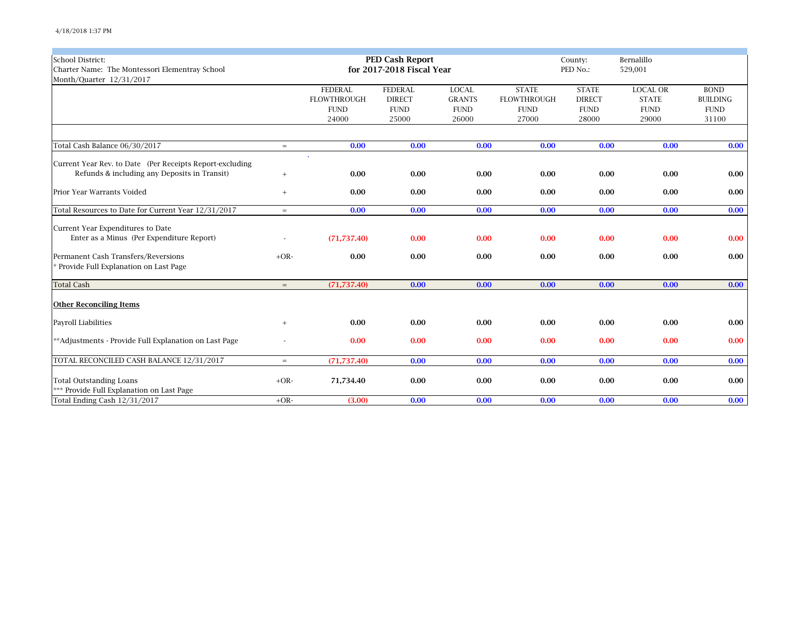| School District:                                         |        |                    | <b>PED Cash Report</b>    |               |                    | County:       | Bernalillo      |                 |
|----------------------------------------------------------|--------|--------------------|---------------------------|---------------|--------------------|---------------|-----------------|-----------------|
| Charter Name: The Montessori Elementray School           |        |                    | for 2017-2018 Fiscal Year |               |                    | PED No.:      | 529,001         |                 |
| Month/Quarter 12/31/2017                                 |        |                    |                           |               |                    |               |                 |                 |
|                                                          |        | <b>FEDERAL</b>     | <b>FEDERAL</b>            | <b>LOCAL</b>  | <b>STATE</b>       | <b>STATE</b>  | <b>LOCAL OR</b> | <b>BOND</b>     |
|                                                          |        | <b>FLOWTHROUGH</b> | <b>DIRECT</b>             | <b>GRANTS</b> | <b>FLOWTHROUGH</b> | <b>DIRECT</b> | <b>STATE</b>    | <b>BUILDING</b> |
|                                                          |        | <b>FUND</b>        | <b>FUND</b>               | <b>FUND</b>   | <b>FUND</b>        | <b>FUND</b>   | <b>FUND</b>     | <b>FUND</b>     |
|                                                          |        | 24000              | 25000                     | 26000         | 27000              | 28000         | 29000           | 31100           |
|                                                          |        |                    |                           |               |                    |               |                 |                 |
| Total Cash Balance 06/30/2017                            | $=$    | 0.00               | 0.00                      | 0.00          | 0.00               | 0.00          | 0.00            | 0.00            |
| Current Year Rev. to Date (Per Receipts Report-excluding |        |                    |                           |               |                    |               |                 |                 |
| Refunds & including any Deposits in Transit)             | $^{+}$ | 0.00               | 0.00                      | 0.00          | 0.00               | 0.00          | 0.00            | 0.00            |
| Prior Year Warrants Voided                               | $^{+}$ | 0.00               | 0.00                      | 0.00          | 0.00               | 0.00          | 0.00            | 0.00            |
| Total Resources to Date for Current Year 12/31/2017      | $=$    | 0.00               | 0.00                      | 0.00          | 0.00               | 0.00          | 0.00            | 0.00            |
| Current Year Expenditures to Date                        |        |                    |                           |               |                    |               |                 |                 |
| Enter as a Minus (Per Expenditure Report)                |        | (71, 737.40)       | 0.00                      | 0.00          | 0.00               | 0.00          | 0.00            | 0.00            |
| Permanent Cash Transfers/Reversions                      | $+OR-$ | 0.00               | 0.00                      | 0.00          | 0.00               | 0.00          | 0.00            | 0.00            |
| * Provide Full Explanation on Last Page                  |        |                    |                           |               |                    |               |                 |                 |
| <b>Total Cash</b>                                        | $=$    | (71, 737.40)       | 0.00                      | 0.00          | 0.00               | 0.00          | 0.00            | 0.00            |
| <b>Other Reconciling Items</b>                           |        |                    |                           |               |                    |               |                 |                 |
| Payroll Liabilities                                      | $^{+}$ | 0.00               | 0.00                      | 0.00          | 0.00               | 0.00          | 0.00            | 0.00            |
| **Adjustments - Provide Full Explanation on Last Page    |        | 0.00               | 0.00                      | 0.00          | 0.00               | 0.00          | 0.00            | 0.00            |
| TOTAL RECONCILED CASH BALANCE 12/31/2017                 | $=$    | (71, 737.40)       | 0.00                      | 0.00          | 0.00               | 0.00          | 0.00            | 0.00            |
| <b>Total Outstanding Loans</b>                           | $+OR-$ | 71,734.40          | 0.00                      | 0.00          | 0.00               | 0.00          | 0.00            | 0.00            |
| *** Provide Full Explanation on Last Page                |        |                    |                           |               |                    |               |                 |                 |
| Total Ending Cash 12/31/2017                             | $+OR-$ | (3.00)             | 0.00                      | 0.00          | 0.00               | 0.00          | 0.00            | 0.00            |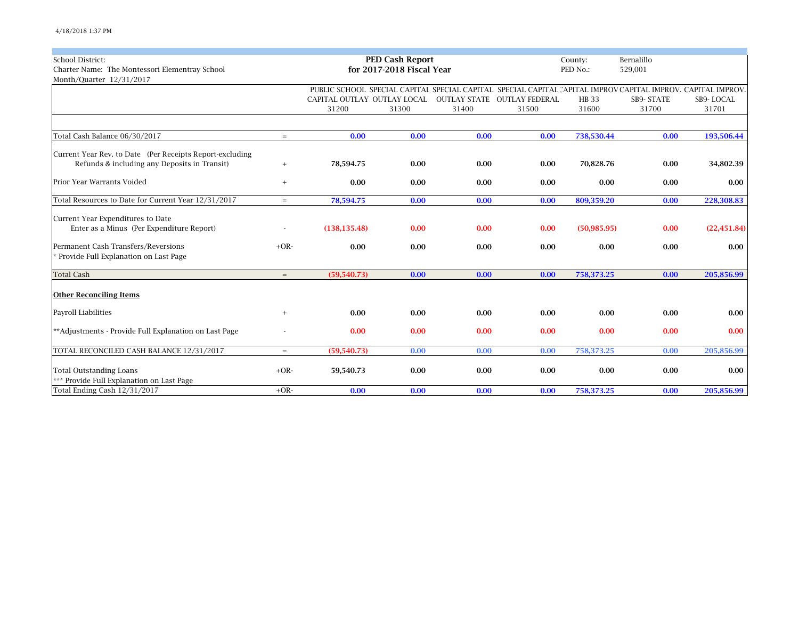| <b>School District:</b>                                  |                   |                             | <b>PED Cash Report</b>    |       |                             | County:      | Bernalillo<br>529,001                                                                                        |              |
|----------------------------------------------------------|-------------------|-----------------------------|---------------------------|-------|-----------------------------|--------------|--------------------------------------------------------------------------------------------------------------|--------------|
| Charter Name: The Montessori Elementray School           |                   |                             | for 2017-2018 Fiscal Year |       | PED No.:                    |              |                                                                                                              |              |
| Month/Quarter 12/31/2017                                 |                   |                             |                           |       |                             |              |                                                                                                              |              |
|                                                          |                   |                             |                           |       |                             |              | PUBLIC SCHOOL SPECIAL CAPITAI SPECIAL CAPITAL SPECIAL CAPITAL CAPITAL IMPROV CAPITAL IMPROV, CAPITAL IMPROV, |              |
|                                                          |                   | CAPITAL OUTLAY OUTLAY LOCAL |                           |       | OUTLAY STATE OUTLAY FEDERAL | <b>HB</b> 33 | SB9-STATE                                                                                                    | SB9-LOCAL    |
|                                                          |                   | 31200                       | 31300                     | 31400 | 31500                       | 31600        | 31700                                                                                                        | 31701        |
|                                                          |                   |                             |                           |       |                             |              |                                                                                                              |              |
| Total Cash Balance 06/30/2017                            | $=$               | 0.00                        | 0.00                      | 0.00  | 0.00                        | 738,530.44   | 0.00                                                                                                         | 193,506.44   |
| Current Year Rev. to Date (Per Receipts Report-excluding |                   |                             |                           |       |                             |              |                                                                                                              |              |
| Refunds & including any Deposits in Transit)             | $\qquad \qquad +$ | 78,594.75                   | 0.00                      | 0.00  | 0.00                        | 70,828.76    | 0.00                                                                                                         | 34,802.39    |
| Prior Year Warrants Voided                               | $^{+}$            | 0.00                        | 0.00                      | 0.00  | 0.00                        | 0.00         | 0.00                                                                                                         | 0.00         |
| Total Resources to Date for Current Year 12/31/2017      | $=$               | 78,594.75                   | 0.00                      | 0.00  | 0.00                        | 809,359.20   | 0.00                                                                                                         | 228,308.83   |
| Current Year Expenditures to Date                        |                   |                             |                           |       |                             |              |                                                                                                              |              |
| Enter as a Minus (Per Expenditure Report)                |                   | (138, 135.48)               | 0.00                      | 0.00  | 0.00                        | (50, 985.95) | 0.00                                                                                                         | (22, 451.84) |
| Permanent Cash Transfers/Reversions                      | $+OR-$            | 0.00                        | 0.00                      | 0.00  | 0.00                        | 0.00         | 0.00                                                                                                         | 0.00         |
| * Provide Full Explanation on Last Page                  |                   |                             |                           |       |                             |              |                                                                                                              |              |
| <b>Total Cash</b>                                        | $=$               | (59, 540.73)                | 0.00                      | 0.00  | 0.00                        | 758,373.25   | 0.00                                                                                                         | 205,856.99   |
| <b>Other Reconciling Items</b>                           |                   |                             |                           |       |                             |              |                                                                                                              |              |
| Payroll Liabilities                                      | $^{+}$            | 0.00                        | 0.00                      | 0.00  | 0.00                        | 0.00         | 0.00                                                                                                         | 0.00         |
| **Adjustments - Provide Full Explanation on Last Page    |                   | 0.00                        | 0.00                      | 0.00  | 0.00                        | 0.00         | 0.00                                                                                                         | 0.00         |
| TOTAL RECONCILED CASH BALANCE 12/31/2017                 | $=$               | (59, 540.73)                | 0.00                      | 0.00  | 0.00                        | 758,373.25   | 0.00                                                                                                         | 205,856.99   |
| <b>Total Outstanding Loans</b>                           | $+OR-$            | 59,540.73                   | 0.00                      | 0.00  | 0.00                        | 0.00         | 0.00                                                                                                         | 0.00         |
| *** Provide Full Explanation on Last Page                |                   |                             |                           |       |                             |              |                                                                                                              |              |
| Total Ending Cash 12/31/2017                             | $+OR-$            | 0.00                        | 0.00                      | 0.00  | 0.00                        | 758,373.25   | 0.00                                                                                                         | 205,856.99   |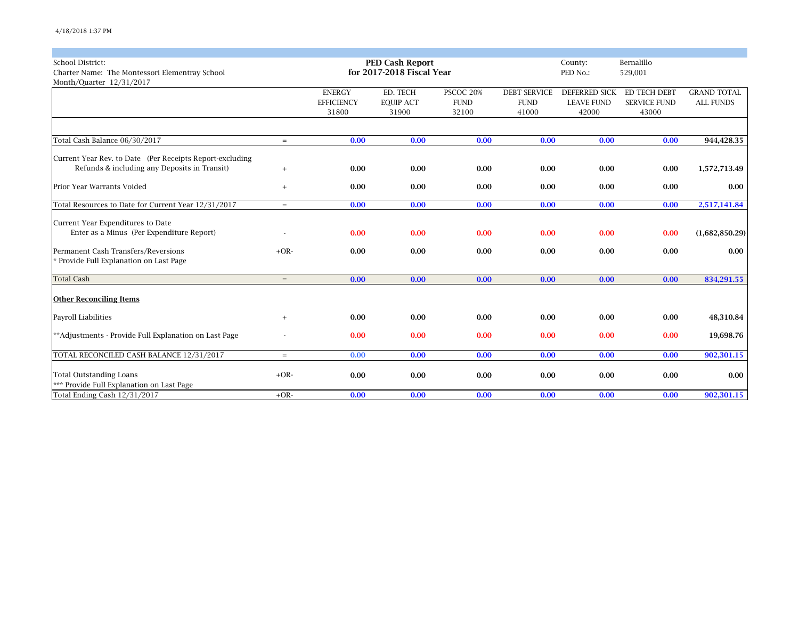| <b>School District:</b>                                  |        |                   | <b>PED Cash Report</b>    |             |                     | County:              | Bernalillo          |                    |
|----------------------------------------------------------|--------|-------------------|---------------------------|-------------|---------------------|----------------------|---------------------|--------------------|
| Charter Name: The Montessori Elementray School           |        |                   | for 2017-2018 Fiscal Year |             |                     | PED No.:             | 529,001             |                    |
| Month/Quarter 12/31/2017                                 |        |                   |                           |             |                     |                      |                     |                    |
|                                                          |        | <b>ENERGY</b>     | ED. TECH                  | PSCOC 20%   | <b>DEBT SERVICE</b> | <b>DEFERRED SICK</b> | ED TECH DEBT        | <b>GRAND TOTAL</b> |
|                                                          |        | <b>EFFICIENCY</b> | <b>EQUIP ACT</b>          | <b>FUND</b> | <b>FUND</b>         | <b>LEAVE FUND</b>    | <b>SERVICE FUND</b> | <b>ALL FUNDS</b>   |
|                                                          |        | 31800             | 31900                     | 32100       | 41000               | 42000                | 43000               |                    |
|                                                          |        |                   |                           |             |                     |                      |                     |                    |
| Total Cash Balance 06/30/2017                            | $=$    | 0.00              | 0.00                      | 0.00        | 0.00                | 0.00                 | 0.00                | 944,428.35         |
| Current Year Rev. to Date (Per Receipts Report-excluding |        |                   |                           |             |                     |                      |                     |                    |
| Refunds & including any Deposits in Transit)             | $^{+}$ | 0.00              | 0.00                      | 0.00        | 0.00                | 0.00                 | 0.00                | 1,572,713.49       |
| Prior Year Warrants Voided                               | $^{+}$ | 0.00              | 0.00                      | 0.00        | 0.00                | 0.00                 | 0.00                | 0.00               |
|                                                          |        |                   |                           |             |                     |                      |                     |                    |
| Total Resources to Date for Current Year 12/31/2017      | $=$    | 0.00              | 0.00                      | 0.00        | 0.00                | 0.00                 | 0.00                | 2,517,141.84       |
| Current Year Expenditures to Date                        |        |                   |                           |             |                     |                      |                     |                    |
| Enter as a Minus (Per Expenditure Report)                |        | 0.00              | 0.00                      | 0.00        | 0.00                | 0.00                 | 0.00                | (1,682,850.29)     |
| Permanent Cash Transfers/Reversions                      | $+OR-$ | 0.00              | 0.00                      | 0.00        | 0.00                | 0.00                 | 0.00                | 0.00               |
| Provide Full Explanation on Last Page                    |        |                   |                           |             |                     |                      |                     |                    |
| <b>Total Cash</b>                                        | $=$    | 0.00              | 0.00                      | 0.00        | 0.00                | 0.00                 | 0.00                | 834,291.55         |
| <b>Other Reconciling Items</b>                           |        |                   |                           |             |                     |                      |                     |                    |
| Payroll Liabilities                                      | $^{+}$ | 0.00              | 0.00                      | 0.00        | 0.00                | 0.00                 | 0.00                | 48,310.84          |
| **Adjustments - Provide Full Explanation on Last Page    |        | 0.00              | 0.00                      | 0.00        | 0.00                | 0.00                 | 0.00                | 19,698.76          |
| TOTAL RECONCILED CASH BALANCE 12/31/2017                 | $=$    | 0.00              | 0.00                      | 0.00        | 0.00                | 0.00                 | 0.00                | 902,301.15         |
| <b>Total Outstanding Loans</b>                           | $+OR-$ | 0.00              | 0.00                      | 0.00        | 0.00                | 0.00                 | 0.00                | 0.00               |
| *** Provide Full Explanation on Last Page                |        |                   |                           |             |                     |                      |                     |                    |
| Total Ending Cash 12/31/2017                             | $+OR-$ | 0.00              | 0.00                      | 0.00        | 0.00                | 0.00                 | 0.00                | 902,301.15         |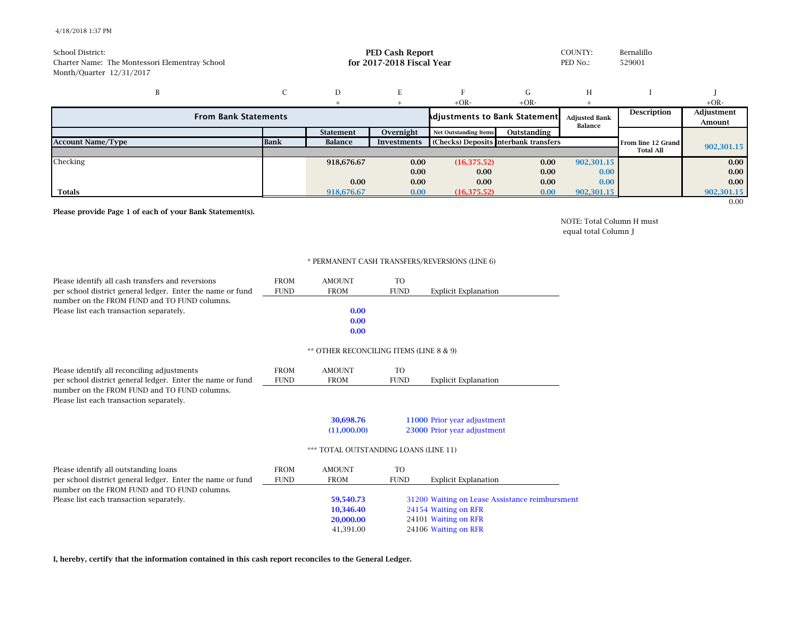## 4/18/2018 1:37 PM

| <b>School District:</b><br>Charter Name: The Montessori Elementray School<br>Month/Quarter 12/31/2017 |             | COUNTY:<br><b>PED Cash Report</b><br>for 2017-2018 Fiscal Year<br>PED No.: |                    |                                       |             |                                 | Bernalillo<br>529001 |                      |
|-------------------------------------------------------------------------------------------------------|-------------|----------------------------------------------------------------------------|--------------------|---------------------------------------|-------------|---------------------------------|----------------------|----------------------|
| B                                                                                                     |             | D                                                                          | E                  |                                       | G           | H                               |                      |                      |
|                                                                                                       |             |                                                                            |                    | $+OR-$                                | $+OR-$      |                                 |                      | $+OR-$               |
| <b>From Bank Statements</b>                                                                           |             |                                                                            |                    | <b>Adjustments to Bank Statement.</b> |             | <b>Adjusted Bank</b><br>Balance | Description          | Adjustment<br>Amount |
|                                                                                                       |             | <b>Statement</b>                                                           | Overnight          | <b>Net Outstanding Items</b>          | Outstanding |                                 |                      |                      |
| <b>Account Name/Type</b>                                                                              | <b>Bank</b> | Balance                                                                    | <b>Investments</b> | (Checks) Deposits Interbank transfers |             |                                 | From line 12 Grand   | 902,301.15           |
|                                                                                                       |             |                                                                            |                    |                                       |             |                                 | <b>Total All</b>     |                      |
| Checking                                                                                              |             | 918,676.67                                                                 | 0.00               | (16, 375.52)                          | 0.00        | 902,301.15                      |                      | 0.00                 |
|                                                                                                       |             |                                                                            | 0.00               | 0.00                                  | 0.00        | 0.00                            |                      | 0.00                 |
|                                                                                                       |             | 0.00                                                                       | 0.00               | 0.00                                  | 0.00        | 0.00                            |                      | 0.00                 |
| <b>Totals</b>                                                                                         |             | 918,676.67                                                                 | 0.00               | (16, 375.52)                          | 0.00        | 902,301.15                      |                      | 902,301.15           |
|                                                                                                       |             |                                                                            |                    |                                       |             |                                 |                      | 0.00                 |

**Please provide Page 1 of each of your Bank Statement(s).**

NOTE: Total Column H must equal total Column J

## \* PERMANENT CASH TRANSFERS/REVERSIONS (LINE 6)

| Please identify all cash transfers and reversions                                                          | <b>FROM</b> | <b>AMOUNT</b>                           | <b>TO</b>      |                                                |
|------------------------------------------------------------------------------------------------------------|-------------|-----------------------------------------|----------------|------------------------------------------------|
| per school district general ledger. Enter the name or fund<br>number on the FROM FUND and TO FUND columns. | <b>FUND</b> | <b>FROM</b>                             | <b>FUND</b>    | <b>Explicit Explanation</b>                    |
| Please list each transaction separately.                                                                   |             | 0.00                                    |                |                                                |
|                                                                                                            |             | 0.00                                    |                |                                                |
|                                                                                                            |             | 0.00                                    |                |                                                |
|                                                                                                            |             | ** OTHER RECONCILING ITEMS (LINE 8 & 9) |                |                                                |
| Please identify all reconciling adjustments                                                                | <b>FROM</b> | <b>AMOUNT</b>                           | T <sub>O</sub> |                                                |
| per school district general ledger. Enter the name or fund                                                 | <b>FUND</b> | <b>FROM</b>                             | <b>FUND</b>    | <b>Explicit Explanation</b>                    |
| number on the FROM FUND and TO FUND columns.<br>Please list each transaction separately.                   |             |                                         |                |                                                |
|                                                                                                            |             | 30.698.76                               |                | 11000 Prior year adjustment                    |
|                                                                                                            |             | (11,000.00)                             |                | 23000 Prior year adjustment                    |
|                                                                                                            |             | *** TOTAL OUTSTANDING LOANS (LINE 11)   |                |                                                |
| Please identify all outstanding loans                                                                      | <b>FROM</b> | <b>AMOUNT</b>                           | <b>TO</b>      |                                                |
| per school district general ledger. Enter the name or fund                                                 | <b>FUND</b> | <b>FROM</b>                             | <b>FUND</b>    | <b>Explicit Explanation</b>                    |
| number on the FROM FUND and TO FUND columns.                                                               |             |                                         |                |                                                |
| Please list each transaction separately.                                                                   |             | 59,540.73                               |                | 31200 Waiting on Lease Assistance reimbursment |
|                                                                                                            |             | 10,346.40                               |                | 24154 Waiting on RFR                           |
|                                                                                                            |             | 20,000.00                               |                | 24101 Waiting on RFR                           |
|                                                                                                            |             | 41,391.00                               |                | 24106 Waiting on RFR                           |

**I, hereby, certify that the information contained in this cash report reconciles to the General Ledger.**